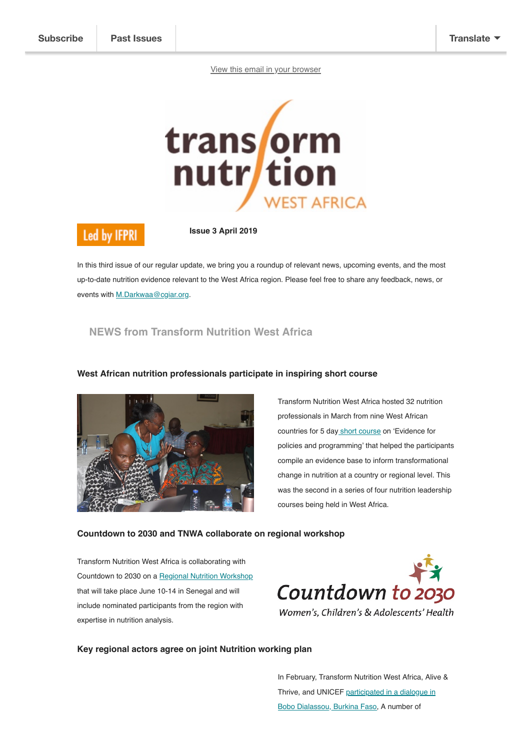[View this email in your browser](https://us2.campaign-archive.com/?e=[UNIQID]&u=b50598ad8e92df073ba169541&id=7eae883fdc)



# **Led by IFPRI**

**Issue 3 April 2019**

In this third issue of our regular update, we bring you a roundup of relevant news, upcoming events, and the most up-to-date nutrition evidence relevant to the West Africa region. Please feel free to share any feedback, news, or events with [M.Darkwaa@cgiar.org.](mailto:M.Darkwaa@cgiar.org)

# **NEWS from Transform Nutrition West Africa**



### **West African nutrition professionals participate in inspiring short course**

Transform Nutrition West Africa hosted 32 nutrition professionals in March from nine West African countries for 5 da[y short course](https://westafrica.transformnutrition.org/news/west-african-nutrition-professionals-participate-in-inspiring-short-course/) on 'Evidence for policies and programming' that helped the participants compile an evidence base to inform transformational change in nutrition at a country or regional level. This was the second in a series of four nutrition leadership courses being held in West Africa.

### **Countdown to 2030 and TNWA collaborate on regional workshop**

Transform Nutrition West Africa is collaborating with Countdown to 2030 on a [Regional Nutrition Workshop](https://westafrica.transformnutrition.org/news/countdown-to-2030-and-tnwa-collaborate-on-regional-workshop/) that will take place June 10-14 in Senegal and will include nominated participants from the region with expertise in nutrition analysis.



### **Key regional actors agree on joint Nutrition working plan**

In February, Transform Nutrition West Africa, Alive & [Thrive, and UNICEF participated in a dialogue in](https://westafrica.transformnutrition.org/news/key-regional-actors-agree-joint-nutrition-working-plan/) Bobo Dialassou, Burkina Faso, A number of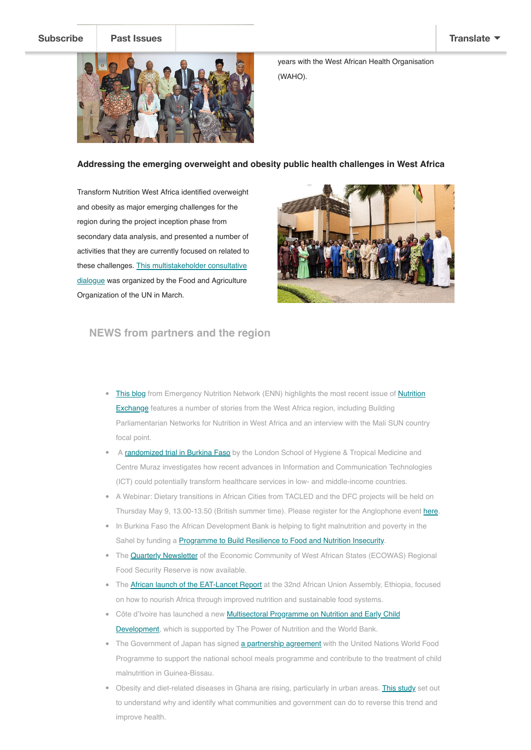

years with the West African Health Organisation (WAHO).

### **Addressing the emerging overweight and obesity public health challenges in West Africa**

Transform Nutrition West Africa identified overweight and obesity as major emerging challenges for the region during the project inception phase from secondary data analysis, and presented a number of activities that they are currently focused on related to [these challenges. This multistakeholder consultative](https://westafrica.transformnutrition.org/news/addressing-the-emerging-overweight-and-obesity-public-health-challenges-in-west-africa/) dialogue was organized by the Food and Agriculture Organization of the UN in March.



## **NEWS from partners and the region**

- . [This blog](https://westafrica.transformnutrition.org/news/nutrition-exchange-sharing-experiences-from-west-africa/) [from Emergency Nutrition Network \(ENN\) highlights the most recent issue of Nutrition](https://www.ennonline.net/nex) **Exchange** features a number of stories from the West Africa region, including Building Parliamentarian Networks for Nutrition in West Africa and an interview with the Mali SUN country focal point.
- A [randomized trial in Burkina Faso](https://westafrica.transformnutrition.org/wp-content/uploads/2019/04/IeDA-Trial-Executive-Summary-Eng.pdf) by the London School of Hygiene & Tropical Medicine and Centre Muraz investigates how recent advances in Information and Communication Technologies (ICT) could potentially transform healthcare services in low- and middle-income countries.
- A Webinar: Dietary transitions in African Cities from TACLED and the DFC projects will be held on Thursday May 9, 13.00-13.50 (British summer time). Please register for the Anglophone event [here.](https://www.eventbrite.co.uk/e/dietary-transitions-in-african-cities-tickets-59577325384)
- In Burkina Faso the African Development Bank is helping to fight malnutrition and poverty in the Sahel by funding a **Programme to Build Resilience to Food and Nutrition Insecurity**.
- The **Quarterly Newsletter** of the Economic Community of West African States (ECOWAS) Regional Food Security Reserve is now available.
- The [African launch of the EAT-Lancet Report](https://scalingupnutrition.org/news/nourishing-africa-through-improved-nutrition-and-sustainable-food-systems-african-launch-of-the-eat-lancet-report/) at the 32nd African Union Assembly, Ethiopia, focused on how to nourish Africa through improved nutrition and sustainable food systems.
- Côte d'Ivoire has launched a new **Multisectoral Programme on Nutrition and Early Child** Development, which is supported by The Power of Nutrition and the World Bank.
- The Government of Japan has signed [a partnership agreement](https://www1.wfp.org/news/japan-partners-wfp-support-school-meals-and-treatment-chronic-malnutrition-guinea-bissau) with the United Nations World Food Programme to support the national school meals programme and contribute to the treatment of child malnutrition in Guinea-Bissau.
- . Obesity and diet-related diseases in Ghana are rising, particularly in urban areas. [This study](https://westafrica.transformnutrition.org/news/dietary-transitions-in-ghanaian-cities-preliminary-findings/) set out to understand why and identify what communities and government can do to reverse this trend and improve health.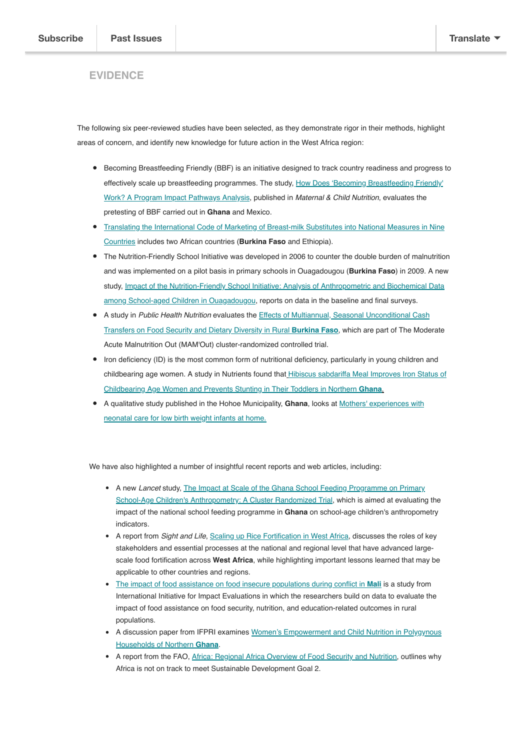# **EVIDENCE**

The following six peer-reviewed studies have been selected, as they demonstrate rigor in their methods, highlight areas of concern, and identify new knowledge for future action in the West Africa region:

- Becoming Breastfeeding Friendly (BBF) is an initiative designed to track country readiness and progress to [effectively scale up breastfeeding programmes. The study, How Does 'Becoming Breastfeeding Friendly'](https://doi.org/10.1111/mcn.12766) Work? A Program Impact Pathways Analysis, published in *Maternal & Child Nutrition*, evaluates the pretesting of BBF carried out in **Ghana** and Mexico.
- [Translating the International Code of Marketing of Breast-milk Substitutes into National Measures in Nine](https://doi.org/10.1111/mcn.12730) Countries includes two African countries (**Burkina Faso** and Ethiopia).
- The Nutrition-Friendly School Initiative was developed in 2006 to counter the double burden of malnutrition and was implemented on a pilot basis in primary schools in Ouagadougou (**Burkina Faso**) in 2009. A new study, *Impact of the Nutrition-Friendly School Initiative: Analysis of Anthropometric and Biochemical Data* among School-aged Children in Ouagadougou, reports on data in the baseline and final surveys.
- A study in *Public Health Nutrition* [evaluates the Effects of Multiannual, Seasonal Unconditional Cash](https://doi.org/10.1017/S1368980018003452) Transfers on Food Security and Dietary Diversity in Rural **Burkina Faso**, which are part of The Moderate Acute Malnutrition Out (MAM'Out) cluster-randomized controlled trial.
- Iron deficiency (ID) is the most common form of nutritional deficiency, particularly in young children and childbearing age women. A study in Nutrients found that Hibiscus sabdariffa Meal Improves Iron Status of [Childbearing Age Women and Prevents Stunting in Their Toddlers in Northern](https://dx.doi.org/10.3390%2Fnu11010198) **Ghana**.
- [A qualitative study published in the Hohoe Municipality,](https://www.sciencedirect.com/science/article/pii/S0882596317306565?via%3Dihub) **Ghana**, looks at Mothers' experiences with neonatal care for low birth weight infants at home.

We have also highlighted a number of insightful recent reports and web articles, including:

- A new *Lancet* study, The Impact at Scale of the Ghana School Feeding Programme on Primary [School-Age Children's Anthropometry: A Cluster Randomized Trial, which is aimed at evaluatin](https://papers.ssrn.com/sol3/papers.cfm?abstract_id=3258667)g the impact of the national school feeding programme in **Ghana** on school-age children's anthropometry indicators.
- A report from *Sight and Life*, [Scaling up Rice Fortification in West Africa,](https://sightandlife.org/wp-content/uploads/2018/12/SALWFP_RFSuppl18_en_web.pdf#page=25) discusses the roles of key stakeholders and essential processes at the national and regional level that have advanced largescale food fortification across **West Africa**, while highlighting important lessons learned that may be applicable to other countries and regions.
- [The impact of food assistance on food insecure populations during conflict in](https://assets.publishing.service.gov.uk/media/5c533515e5274a492912eb7b/GFR-TW6.1039-food-insecure-population-mali.pdf) **Mali** is a study from International Initiative for Impact Evaluations in which the researchers build on data to evaluate the impact of food assistance on food security, nutrition, and education-related outcomes in rural populations.
- [A discussion paper from IFPRI examines Women's Empowerment and Child Nutrition in Polygynous](http://www.ifpri.org/publication/womens-empowerment-and-child-nutrition-polygynous-households-northern-ghana) Households of Northern **Ghana**.
- A report from the FAO, [Africa: Regional Africa Overview of Food Security and Nutrition](http://www.fao.org/3/CA2710EN/ca2710en.pdf), outlines why Africa is not on track to meet Sustainable Development Goal 2.